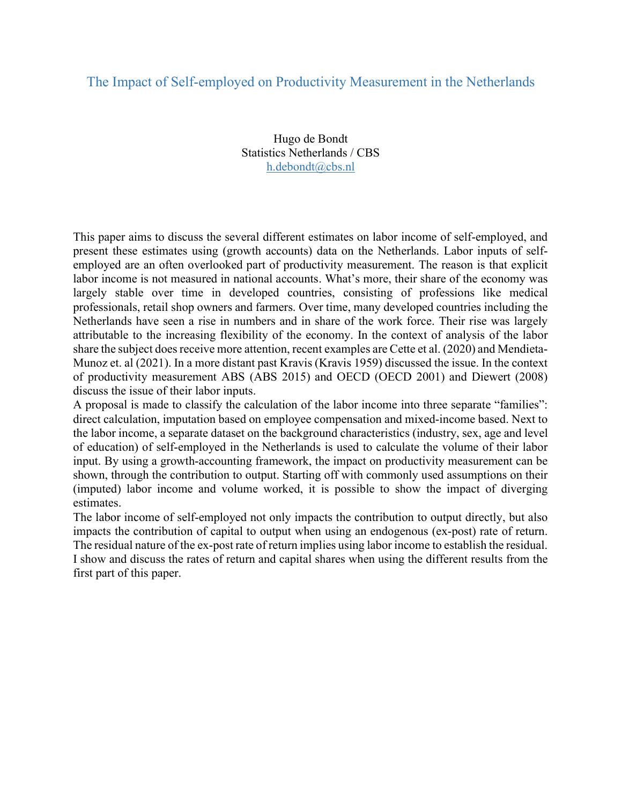## The Impact of Self-employed on Productivity Measurement in the Netherlands

Hugo de Bondt Statistics Netherlands / CBS h.debondt@cbs.nl

This paper aims to discuss the several different estimates on labor income of self-employed, and present these estimates using (growth accounts) data on the Netherlands. Labor inputs of selfemployed are an often overlooked part of productivity measurement. The reason is that explicit labor income is not measured in national accounts. What's more, their share of the economy was largely stable over time in developed countries, consisting of professions like medical professionals, retail shop owners and farmers. Over time, many developed countries including the Netherlands have seen a rise in numbers and in share of the work force. Their rise was largely attributable to the increasing flexibility of the economy. In the context of analysis of the labor share the subject does receive more attention, recent examples are Cette et al. (2020) and Mendieta-Munoz et. al (2021). In a more distant past Kravis (Kravis 1959) discussed the issue. In the context of productivity measurement ABS (ABS 2015) and OECD (OECD 2001) and Diewert (2008) discuss the issue of their labor inputs.

A proposal is made to classify the calculation of the labor income into three separate "families": direct calculation, imputation based on employee compensation and mixed-income based. Next to the labor income, a separate dataset on the background characteristics (industry, sex, age and level of education) of self-employed in the Netherlands is used to calculate the volume of their labor input. By using a growth-accounting framework, the impact on productivity measurement can be shown, through the contribution to output. Starting off with commonly used assumptions on their (imputed) labor income and volume worked, it is possible to show the impact of diverging estimates.

The labor income of self-employed not only impacts the contribution to output directly, but also impacts the contribution of capital to output when using an endogenous (ex-post) rate of return. The residual nature of the ex-post rate of return implies using labor income to establish the residual. I show and discuss the rates of return and capital shares when using the different results from the first part of this paper.